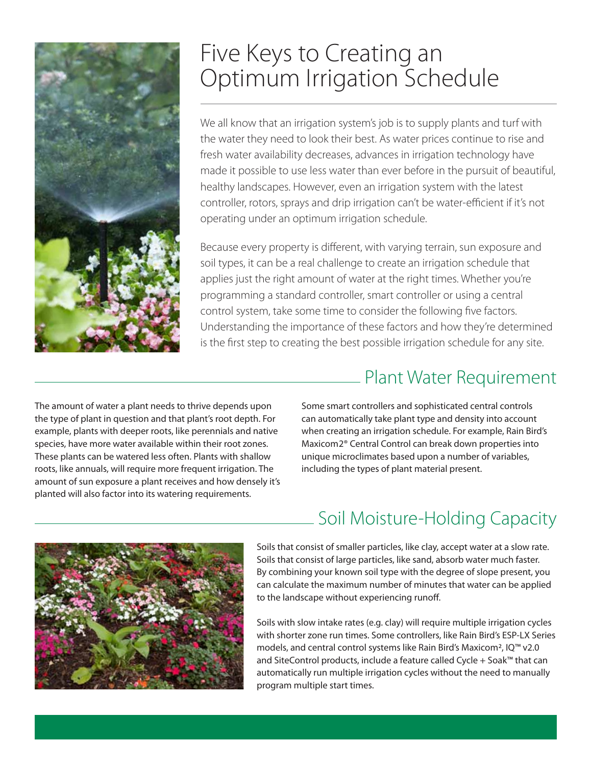

# Five Keys to Creating an Optimum Irrigation Schedule

We all know that an irrigation system's job is to supply plants and turf with the water they need to look their best. As water prices continue to rise and fresh water availability decreases, advances in irrigation technology have made it possible to use less water than ever before in the pursuit of beautiful, healthy landscapes. However, even an irrigation system with the latest controller, rotors, sprays and drip irrigation can't be water-efficient if it's not operating under an optimum irrigation schedule.

Because every property is different, with varying terrain, sun exposure and soil types, it can be a real challenge to create an irrigation schedule that applies just the right amount of water at the right times. Whether you're programming a standard controller, smart controller or using a central control system, take some time to consider the following five factors. Understanding the importance of these factors and how they're determined is the first step to creating the best possible irrigation schedule for any site.

The amount of water a plant needs to thrive depends upon the type of plant in question and that plant's root depth. For example, plants with deeper roots, like perennials and native species, have more water available within their root zones. These plants can be watered less often. Plants with shallow roots, like annuals, will require more frequent irrigation. The amount of sun exposure a plant receives and how densely it's planted will also factor into its watering requirements.

## Plant Water Requirement

Some smart controllers and sophisticated central controls can automatically take plant type and density into account when creating an irrigation schedule. For example, Rain Bird's Maxicom2® Central Control can break down properties into unique microclimates based upon a number of variables, including the types of plant material present.



# Soil Moisture-Holding Capacity

Soils that consist of smaller particles, like clay, accept water at a slow rate. Soils that consist of large particles, like sand, absorb water much faster. By combining your known soil type with the degree of slope present, you can calculate the maximum number of minutes that water can be applied to the landscape without experiencing runoff.

Soils with slow intake rates (e.g. clay) will require multiple irrigation cycles with shorter zone run times. Some controllers, like Rain Bird's ESP-LX Series models, and central control systems like Rain Bird's Maxicom2, IQ™ v2.0 and SiteControl products, include a feature called Cycle + Soak™ that can automatically run multiple irrigation cycles without the need to manually program multiple start times.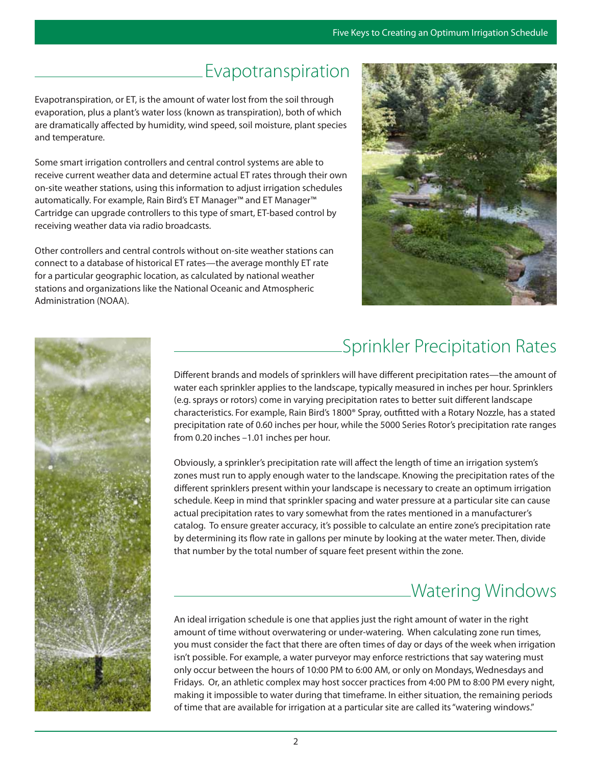#### Evapotranspiration

Evapotranspiration, or ET, is the amount of water lost from the soil through evaporation, plus a plant's water loss (known as transpiration), both of which are dramatically affected by humidity, wind speed, soil moisture, plant species and temperature.

Some smart irrigation controllers and central control systems are able to receive current weather data and determine actual ET rates through their own on-site weather stations, using this information to adjust irrigation schedules automatically. For example, Rain Bird's ET Manager™ and ET Manager™ Cartridge can upgrade controllers to this type of smart, ET-based control by receiving weather data via radio broadcasts.

Other controllers and central controls without on-site weather stations can connect to a database of historical ET rates—the average monthly ET rate for a particular geographic location, as calculated by national weather stations and organizations like the National Oceanic and Atmospheric Administration (NOAA).



### Sprinkler Precipitation Rates

Different brands and models of sprinklers will have different precipitation rates—the amount of water each sprinkler applies to the landscape, typically measured in inches per hour. Sprinklers (e.g. sprays or rotors) come in varying precipitation rates to better suit different landscape characteristics. For example, Rain Bird's 1800® Spray, outfitted with a Rotary Nozzle, has a stated precipitation rate of 0.60 inches per hour, while the 5000 Series Rotor's precipitation rate ranges from 0.20 inches –1.01 inches per hour.

Obviously, a sprinkler's precipitation rate will affect the length of time an irrigation system's zones must run to apply enough water to the landscape. Knowing the precipitation rates of the different sprinklers present within your landscape is necessary to create an optimum irrigation schedule. Keep in mind that sprinkler spacing and water pressure at a particular site can cause actual precipitation rates to vary somewhat from the rates mentioned in a manufacturer's catalog. To ensure greater accuracy, it's possible to calculate an entire zone's precipitation rate by determining its flow rate in gallons per minute by looking at the water meter. Then, divide that number by the total number of square feet present within the zone.

# Watering Windows

An ideal irrigation schedule is one that applies just the right amount of water in the right amount of time without overwatering or under-watering. When calculating zone run times, you must consider the fact that there are often times of day or days of the week when irrigation isn't possible. For example, a water purveyor may enforce restrictions that say watering must only occur between the hours of 10:00 PM to 6:00 AM, or only on Mondays, Wednesdays and Fridays. Or, an athletic complex may host soccer practices from 4:00 PM to 8:00 PM every night, making it impossible to water during that timeframe. In either situation, the remaining periods of time that are available for irrigation at a particular site are called its "watering windows."